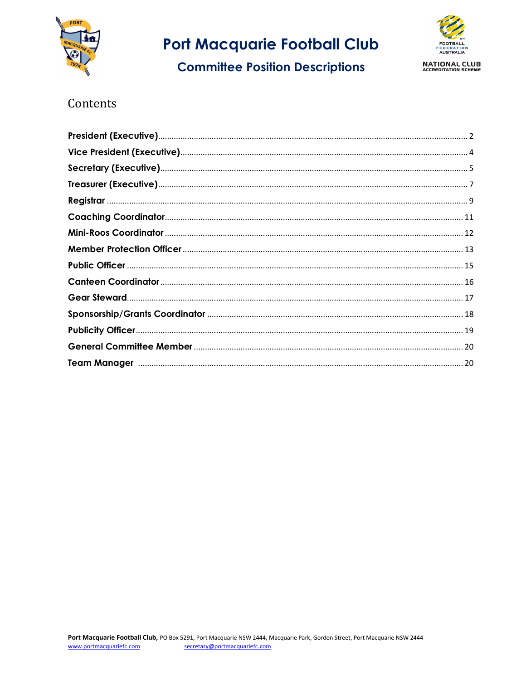

**Committee Position Descriptions** 



## Contents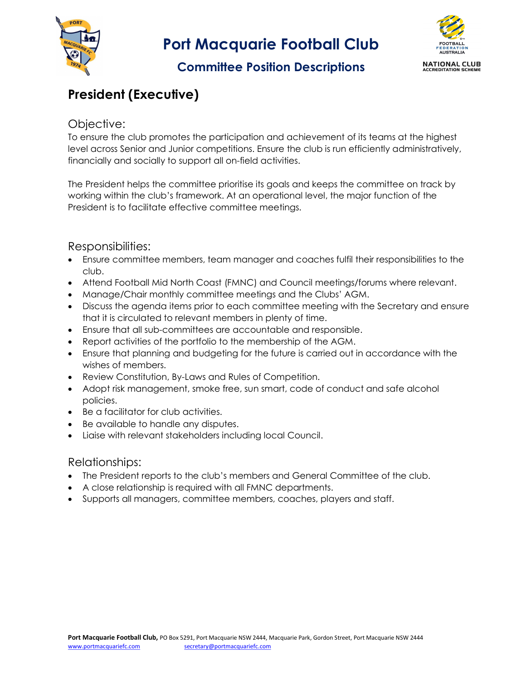

## Committee Position Descriptions



# President (Executive)

### Objective:

To ensure the club promotes the participation and achievement of its teams at the highest level across Senior and Junior competitions. Ensure the club is run efficiently administratively, financially and socially to support all on-field activities.

The President helps the committee prioritise its goals and keeps the committee on track by working within the club's framework. At an operational level, the major function of the President is to facilitate effective committee meetings.

### Responsibilities:

- Ensure committee members, team manager and coaches fulfil their responsibilities to the club.
- Attend Football Mid North Coast (FMNC) and Council meetings/forums where relevant.
- Manage/Chair monthly committee meetings and the Clubs' AGM.
- Discuss the agenda items prior to each committee meeting with the Secretary and ensure that it is circulated to relevant members in plenty of time.
- Ensure that all sub-committees are accountable and responsible.
- Report activities of the portfolio to the membership of the AGM.
- Ensure that planning and budgeting for the future is carried out in accordance with the wishes of members.
- Review Constitution, By-Laws and Rules of Competition.
- Adopt risk management, smoke free, sun smart, code of conduct and safe alcohol policies.
- Be a facilitator for club activities.
- Be available to handle any disputes.
- Liaise with relevant stakeholders including local Council.

#### Relationships:

- The President reports to the club's members and General Committee of the club.
- A close relationship is required with all FMNC departments.
- Supports all managers, committee members, coaches, players and staff.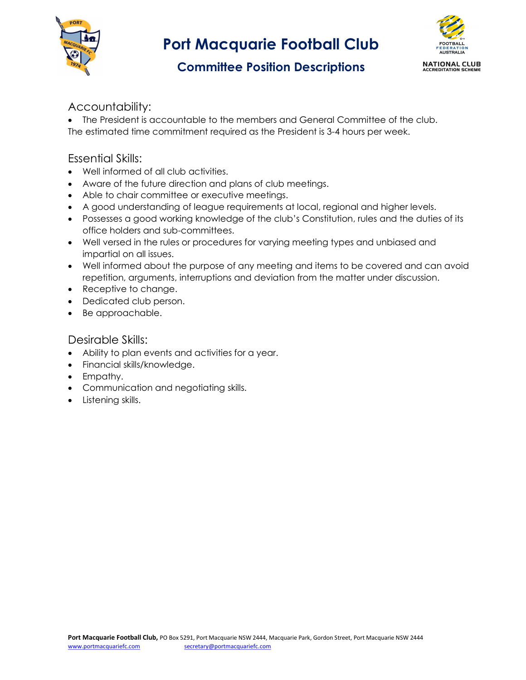



## Committee Position Descriptions

### Accountability:

 The President is accountable to the members and General Committee of the club. The estimated time commitment required as the President is 3-4 hours per week.

### Essential Skills:

- Well informed of all club activities.
- Aware of the future direction and plans of club meetings.
- Able to chair committee or executive meetings.
- A good understanding of league requirements at local, regional and higher levels.
- Possesses a good working knowledge of the club's Constitution, rules and the duties of its office holders and sub-committees.
- Well versed in the rules or procedures for varying meeting types and unbiased and impartial on all issues.
- Well informed about the purpose of any meeting and items to be covered and can avoid repetition, arguments, interruptions and deviation from the matter under discussion.
- Receptive to change.
- Dedicated club person.
- Be approachable.

- Ability to plan events and activities for a year.
- Financial skills/knowledge.
- Empathy.
- Communication and negotiating skills.
- Listening skills.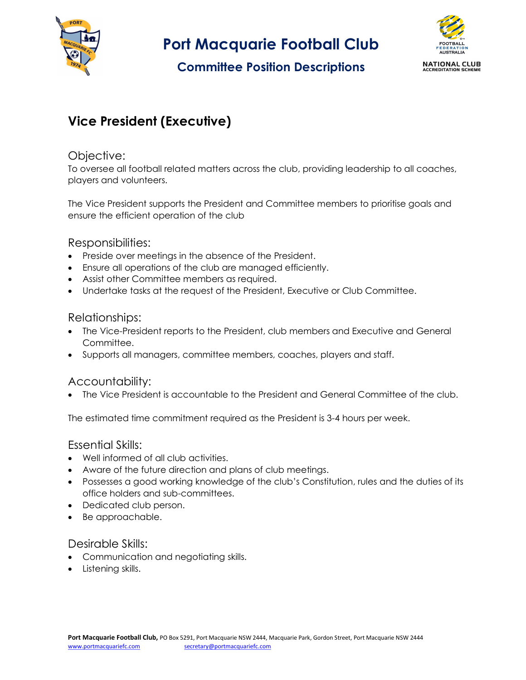

## Committee Position Descriptions



# Vice President (Executive)

#### Objective:

To oversee all football related matters across the club, providing leadership to all coaches, players and volunteers.

The Vice President supports the President and Committee members to prioritise goals and ensure the efficient operation of the club

#### Responsibilities:

- Preside over meetings in the absence of the President.
- Ensure all operations of the club are managed efficiently.
- Assist other Committee members as required.
- Undertake tasks at the request of the President, Executive or Club Committee.

#### Relationships:

- The Vice-President reports to the President, club members and Executive and General **Committee**
- Supports all managers, committee members, coaches, players and staff.

#### Accountability:

The Vice President is accountable to the President and General Committee of the club.

The estimated time commitment required as the President is 3-4 hours per week.

#### Essential Skills:

- Well informed of all club activities.
- Aware of the future direction and plans of club meetings.
- Possesses a good working knowledge of the club's Constitution, rules and the duties of its office holders and sub-committees.
- Dedicated club person.
- Be approachable.

- Communication and negotiating skills.
- Listening skills.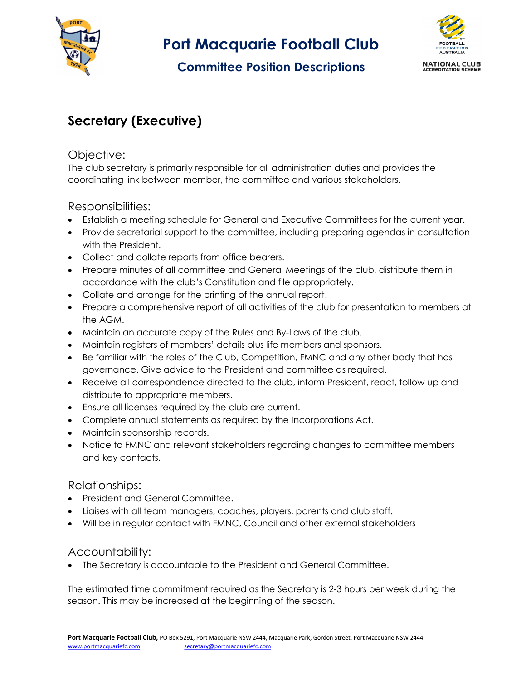

# Committee Position Descriptions



# Secretary (Executive)

### Objective:

The club secretary is primarily responsible for all administration duties and provides the coordinating link between member, the committee and various stakeholders.

## Responsibilities:

- Establish a meeting schedule for General and Executive Committees for the current year.
- Provide secretarial support to the committee, including preparing agendas in consultation with the President.
- Collect and collate reports from office bearers.
- Prepare minutes of all committee and General Meetings of the club, distribute them in accordance with the club's Constitution and file appropriately.
- Collate and arrange for the printing of the annual report.
- Prepare a comprehensive report of all activities of the club for presentation to members at the AGM.
- Maintain an accurate copy of the Rules and By-Laws of the club.
- Maintain registers of members' details plus life members and sponsors.
- Be familiar with the roles of the Club, Competition, FMNC and any other body that has governance. Give advice to the President and committee as required.
- Receive all correspondence directed to the club, inform President, react, follow up and distribute to appropriate members.
- Ensure all licenses required by the club are current.
- Complete annual statements as required by the Incorporations Act.
- Maintain sponsorship records.
- Notice to FMNC and relevant stakeholders regarding changes to committee members and key contacts.

### Relationships:

- President and General Committee.
- Liaises with all team managers, coaches, players, parents and club staff.
- Will be in regular contact with FMNC, Council and other external stakeholders

### Accountability:

The Secretary is accountable to the President and General Committee.

The estimated time commitment required as the Secretary is 2-3 hours per week during the season. This may be increased at the beginning of the season.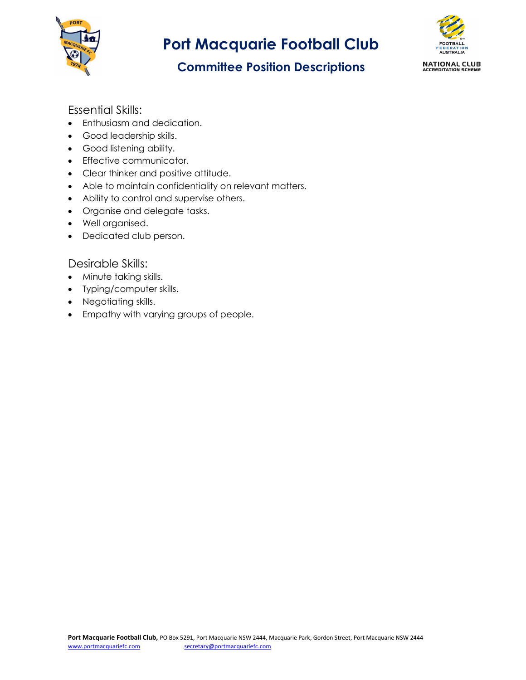

# Committee Position Descriptions



### Essential Skills:

- Enthusiasm and dedication.
- Good leadership skills.
- Good listening ability.
- Effective communicator.
- Clear thinker and positive attitude.
- Able to maintain confidentiality on relevant matters.
- Ability to control and supervise others.
- Organise and delegate tasks.
- Well organised.
- Dedicated club person.

- Minute taking skills.
- Typing/computer skills.
- Negotiating skills.
- Empathy with varying groups of people.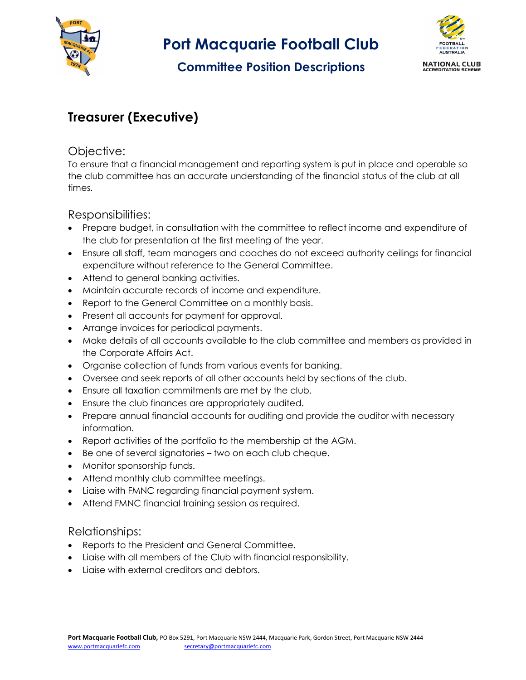

# Committee Position Descriptions



# Treasurer (Executive)

### Objective:

To ensure that a financial management and reporting system is put in place and operable so the club committee has an accurate understanding of the financial status of the club at all times.

Responsibilities:

- Prepare budget, in consultation with the committee to reflect income and expenditure of the club for presentation at the first meeting of the year.
- Ensure all staff, team managers and coaches do not exceed authority ceilings for financial expenditure without reference to the General Committee.
- Attend to general banking activities.
- Maintain accurate records of income and expenditure.
- Report to the General Committee on a monthly basis.
- Present all accounts for payment for approval.
- Arrange invoices for periodical payments.
- Make details of all accounts available to the club committee and members as provided in the Corporate Affairs Act.
- Organise collection of funds from various events for banking.
- Oversee and seek reports of all other accounts held by sections of the club.
- Ensure all taxation commitments are met by the club.
- Ensure the club finances are appropriately audited.
- Prepare annual financial accounts for auditing and provide the auditor with necessary information.
- Report activities of the portfolio to the membership at the AGM.
- Be one of several signatories two on each club cheque.
- Monitor sponsorship funds.
- Attend monthly club committee meetings.
- Liaise with FMNC regarding financial payment system.
- Attend FMNC financial training session as required.

#### Relationships:

- Reports to the President and General Committee.
- Liaise with all members of the Club with financial responsibility.
- Liaise with external creditors and debtors.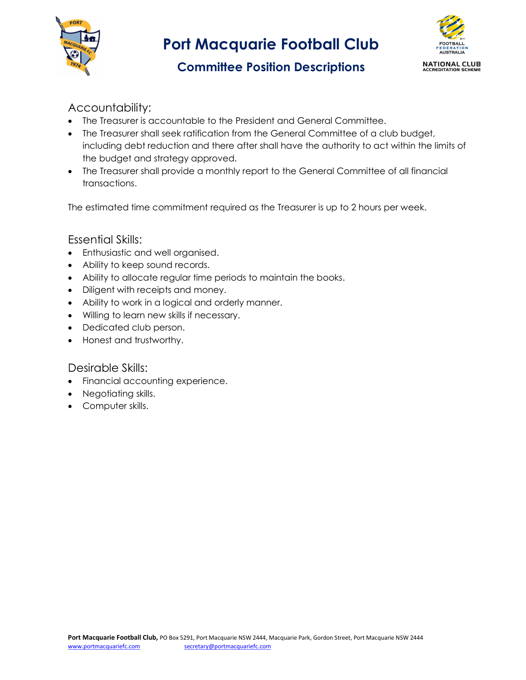



# Committee Position Descriptions

## Accountability:

- The Treasurer is accountable to the President and General Committee.
- The Treasurer shall seek ratification from the General Committee of a club budget, including debt reduction and there after shall have the authority to act within the limits of the budget and strategy approved.
- The Treasurer shall provide a monthly report to the General Committee of all financial transactions.

The estimated time commitment required as the Treasurer is up to 2 hours per week.

### Essential Skills:

- Enthusiastic and well organised.
- Ability to keep sound records.
- Ability to allocate regular time periods to maintain the books.
- Diligent with receipts and money.
- Ability to work in a logical and orderly manner.
- Willing to learn new skills if necessary.
- Dedicated club person.
- Honest and trustworthy.

- Financial accounting experience.
- Negotiating skills.
- Computer skills.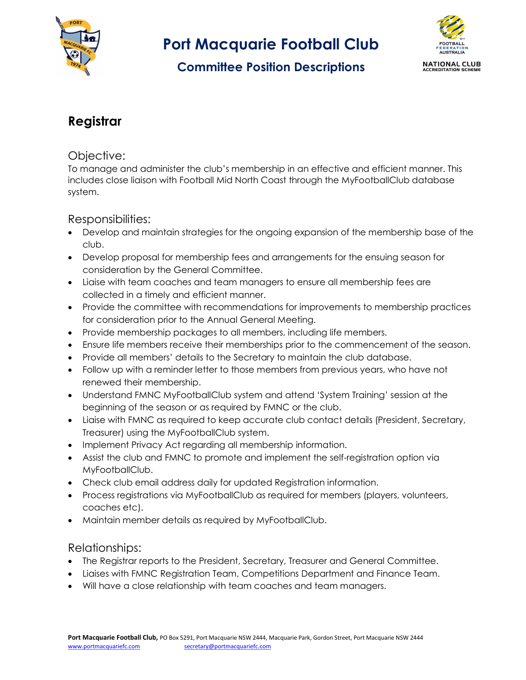

# Committee Position Descriptions



# Registrar

#### Objective:

To manage and administer the club's membership in an effective and efficient manner. This includes close liaison with Football Mid North Coast through the MyFootballClub database system.

### Responsibilities:

- Develop and maintain strategies for the ongoing expansion of the membership base of the club.
- Develop proposal for membership fees and arrangements for the ensuing season for consideration by the General Committee.
- Liaise with team coaches and team managers to ensure all membership fees are collected in a timely and efficient manner.
- Provide the committee with recommendations for improvements to membership practices for consideration prior to the Annual General Meeting.
- Provide membership packages to all members, including life members.
- Ensure life members receive their memberships prior to the commencement of the season.
- Provide all members' details to the Secretary to maintain the club database.
- Follow up with a reminder letter to those members from previous years, who have not renewed their membership.
- Understand FMNC MyFootballClub system and attend 'System Training' session at the beginning of the season or as required by FMNC or the club.
- Liaise with FMNC as required to keep accurate club contact details (President, Secretary, Treasurer) using the MyFootballClub system.
- Implement Privacy Act regarding all membership information.
- Assist the club and FMNC to promote and implement the self-registration option via MyFootballClub.
- Check club email address daily for updated Registration information.
- Process registrations via MyFootballClub as required for members (players, volunteers, coaches etc).
- Maintain member details as required by MyFootballClub.

### Relationships:

- The Registrar reports to the President, Secretary, Treasurer and General Committee.
- Liaises with FMNC Registration Team, Competitions Department and Finance Team.
- Will have a close relationship with team coaches and team managers.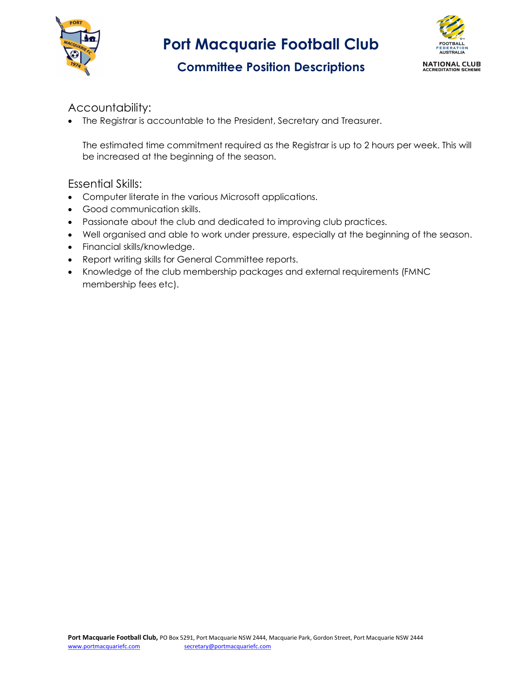



## Committee Position Descriptions

## Accountability:

The Registrar is accountable to the President, Secretary and Treasurer.

The estimated time commitment required as the Registrar is up to 2 hours per week. This will be increased at the beginning of the season.

- Computer literate in the various Microsoft applications.
- Good communication skills.
- Passionate about the club and dedicated to improving club practices.
- Well organised and able to work under pressure, especially at the beginning of the season.
- Financial skills/knowledge.
- Report writing skills for General Committee reports.
- Knowledge of the club membership packages and external requirements (FMNC membership fees etc).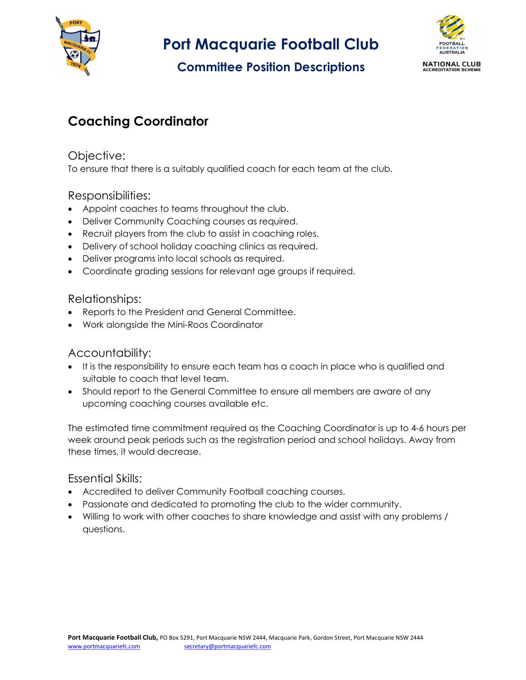

# Committee Position Descriptions



# Coaching Coordinator

### Objective:

To ensure that there is a suitably qualified coach for each team at the club.

### Responsibilities:

- Appoint coaches to teams throughout the club.
- Deliver Community Coaching courses as required.
- Recruit players from the club to assist in coaching roles.
- Delivery of school holiday coaching clinics as required.
- Deliver programs into local schools as required.
- Coordinate grading sessions for relevant age groups if required.

#### Relationships:

- Reports to the President and General Committee.
- Work alongside the Mini-Roos Coordinator

### Accountability:

- It is the responsibility to ensure each team has a coach in place who is qualified and suitable to coach that level team.
- Should report to the General Committee to ensure all members are aware of any upcoming coaching courses available etc.

The estimated time commitment required as the Coaching Coordinator is up to 4-6 hours per week around peak periods such as the registration period and school holidays. Away from these times, it would decrease.

- Accredited to deliver Community Football coaching courses.
- Passionate and dedicated to promoting the club to the wider community.
- Willing to work with other coaches to share knowledge and assist with any problems / questions.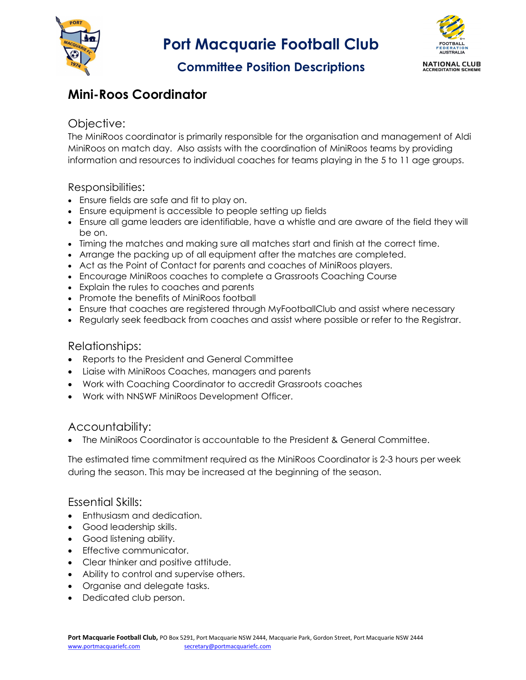



## Committee Position Descriptions

# Mini-Roos Coordinator

### Objective:

The MiniRoos coordinator is primarily responsible for the organisation and management of Aldi MiniRoos on match day. Also assists with the coordination of MiniRoos teams by providing information and resources to individual coaches for teams playing in the 5 to 11 age groups.

#### Responsibilities:

- Ensure fields are safe and fit to play on.
- Ensure equipment is accessible to people setting up fields
- Ensure all game leaders are identifiable, have a whistle and are aware of the field they will be on.
- Timing the matches and making sure all matches start and finish at the correct time.
- Arrange the packing up of all equipment after the matches are completed.
- Act as the Point of Contact for parents and coaches of MiniRoos players.
- Encourage MiniRoos coaches to complete a Grassroots Coaching Course
- Explain the rules to coaches and parents
- Promote the benefits of MiniRoos football
- Ensure that coaches are registered through MyFootballClub and assist where necessary
- Regularly seek feedback from coaches and assist where possible or refer to the Registrar.

#### Relationships:

- Reports to the President and General Committee
- Liaise with MiniRoos Coaches, managers and parents
- Work with Coaching Coordinator to accredit Grassroots coaches
- Work with NNSWF MiniRoos Development Officer.

#### Accountability:

The MiniRoos Coordinator is accountable to the President & General Committee.

The estimated time commitment required as the MiniRoos Coordinator is 2-3 hours per week during the season. This may be increased at the beginning of the season.

- Enthusiasm and dedication.
- Good leadership skills.
- Good listening ability.
- Effective communicator.
- Clear thinker and positive attitude.
- Ability to control and supervise others.
- Organise and delegate tasks.
- Dedicated club person.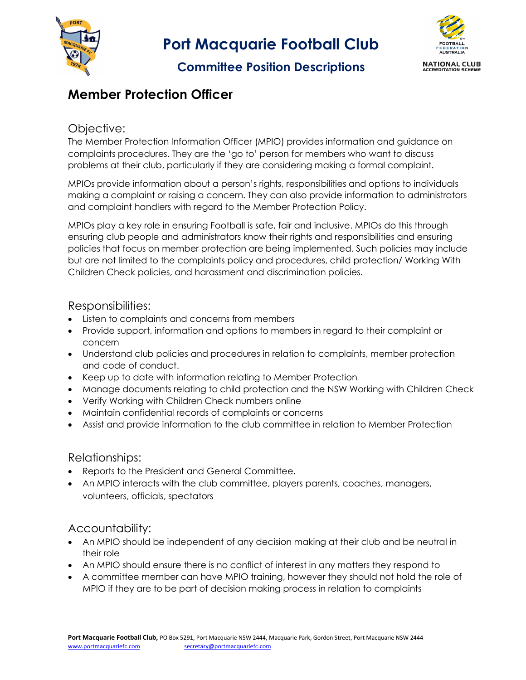

## Committee Position Descriptions



## Member Protection Officer

#### Objective:

The Member Protection Information Officer (MPIO) provides information and guidance on complaints procedures. They are the 'go to' person for members who want to discuss problems at their club, particularly if they are considering making a formal complaint.

MPIOs provide information about a person's rights, responsibilities and options to individuals making a complaint or raising a concern. They can also provide information to administrators and complaint handlers with regard to the Member Protection Policy.

MPIOs play a key role in ensuring Football is safe, fair and inclusive. MPIOs do this through ensuring club people and administrators know their rights and responsibilities and ensuring policies that focus on member protection are being implemented. Such policies may include but are not limited to the complaints policy and procedures, child protection/ Working With Children Check policies, and harassment and discrimination policies.

#### Responsibilities:

- Listen to complaints and concerns from members
- Provide support, information and options to members in regard to their complaint or concern
- Understand club policies and procedures in relation to complaints, member protection and code of conduct.
- Keep up to date with information relating to Member Protection
- Manage documents relating to child protection and the NSW Working with Children Check
- Verify Working with Children Check numbers online
- Maintain confidential records of complaints or concerns
- Assist and provide information to the club committee in relation to Member Protection

#### Relationships:

- Reports to the President and General Committee.
- An MPIO interacts with the club committee, players parents, coaches, managers, volunteers, officials, spectators

### Accountability:

- An MPIO should be independent of any decision making at their club and be neutral in their role
- An MPIO should ensure there is no conflict of interest in any matters they respond to
- A committee member can have MPIO training, however they should not hold the role of MPIO if they are to be part of decision making process in relation to complaints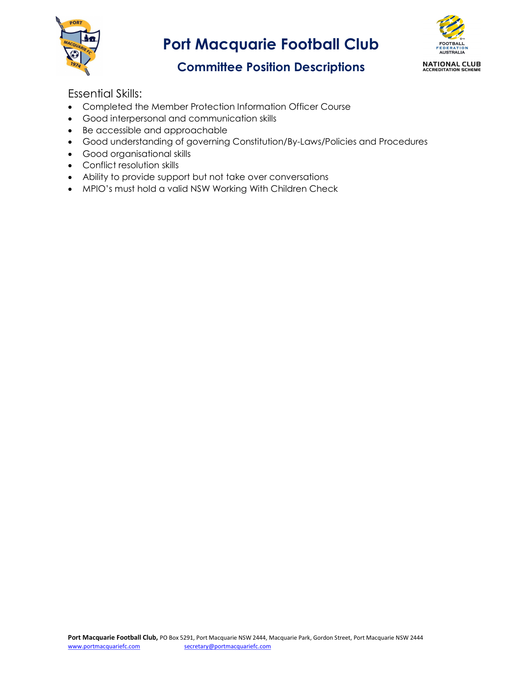



## Committee Position Descriptions

- Completed the Member Protection Information Officer Course
- Good interpersonal and communication skills
- Be accessible and approachable
- Good understanding of governing Constitution/By-Laws/Policies and Procedures
- Good organisational skills
- Conflict resolution skills
- Ability to provide support but not take over conversations
- MPIO's must hold a valid NSW Working With Children Check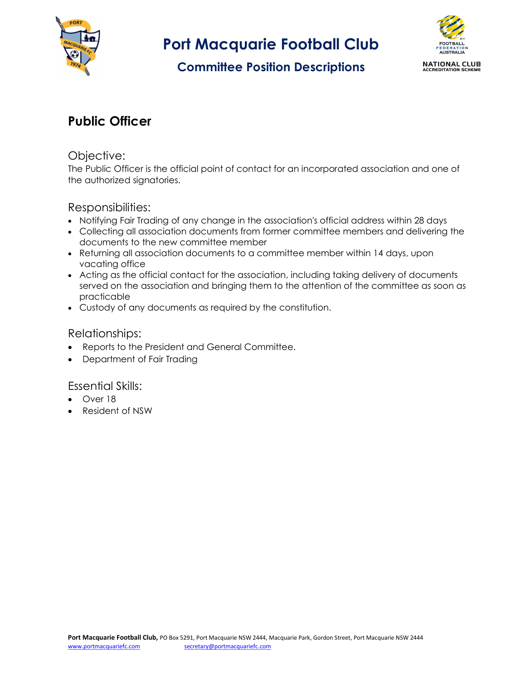

## Committee Position Descriptions



# Public Officer

#### Objective:

The Public Officer is the official point of contact for an incorporated association and one of the authorized signatories.

### Responsibilities:

- Notifying Fair Trading of any change in the association's official address within 28 days
- Collecting all association documents from former committee members and delivering the documents to the new committee member
- Returning all association documents to a committee member within 14 days, upon vacating office
- Acting as the official contact for the association, including taking delivery of documents served on the association and bringing them to the attention of the committee as soon as practicable
- Custody of any documents as required by the constitution.

#### Relationships:

- Reports to the President and General Committee.
- Department of Fair Trading

- Over 18
- Resident of NSW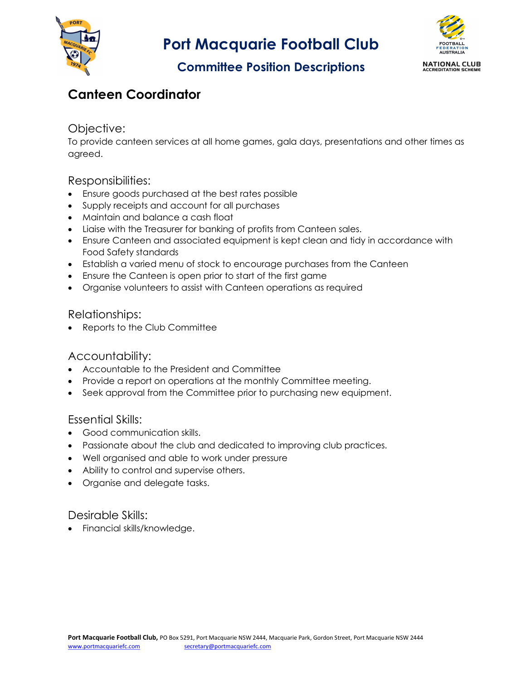



## Committee Position Descriptions

# Canteen Coordinator

### Objective:

To provide canteen services at all home games, gala days, presentations and other times as agreed.

### Responsibilities:

- Ensure goods purchased at the best rates possible
- Supply receipts and account for all purchases
- Maintain and balance a cash float
- Liaise with the Treasurer for banking of profits from Canteen sales.
- Ensure Canteen and associated equipment is kept clean and tidy in accordance with Food Safety standards
- Establish a varied menu of stock to encourage purchases from the Canteen
- Ensure the Canteen is open prior to start of the first game
- Organise volunteers to assist with Canteen operations as required

### Relationships:

Reports to the Club Committee

### Accountability:

- Accountable to the President and Committee
- Provide a report on operations at the monthly Committee meeting.
- Seek approval from the Committee prior to purchasing new equipment.

### Essential Skills:

- Good communication skills.
- Passionate about the club and dedicated to improving club practices.
- Well organised and able to work under pressure
- Ability to control and supervise others.
- Organise and delegate tasks.

#### Desirable Skills:

• Financial skills/knowledge.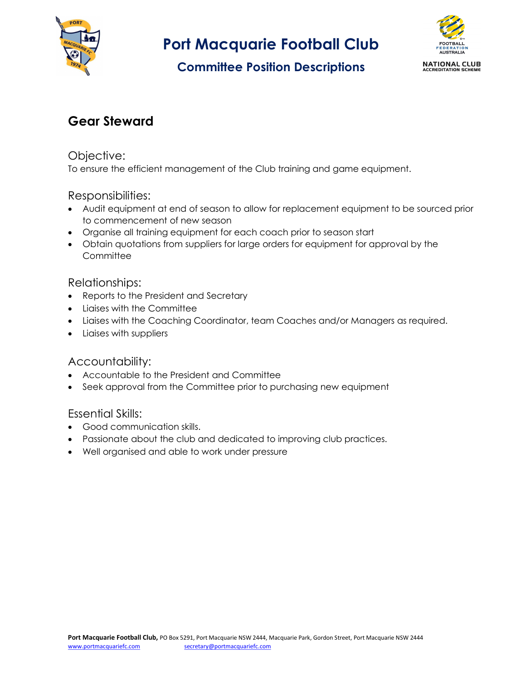

# Committee Position Descriptions



## Gear Steward

#### Objective:

To ensure the efficient management of the Club training and game equipment.

### Responsibilities:

- Audit equipment at end of season to allow for replacement equipment to be sourced prior to commencement of new season
- Organise all training equipment for each coach prior to season start
- Obtain quotations from suppliers for large orders for equipment for approval by the **Committee**

#### Relationships:

- Reports to the President and Secretary
- Liaises with the Committee
- Liaises with the Coaching Coordinator, team Coaches and/or Managers as required.
- Liaises with suppliers

### Accountability:

- Accountable to the President and Committee
- Seek approval from the Committee prior to purchasing new equipment

- Good communication skills.
- Passionate about the club and dedicated to improving club practices.
- Well organised and able to work under pressure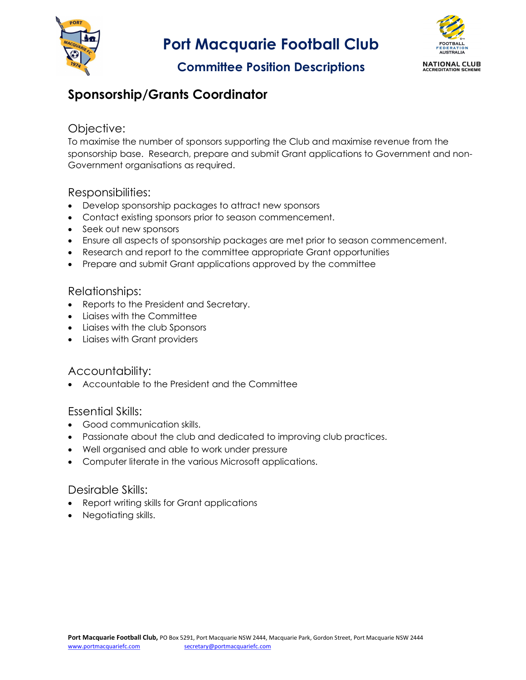



## Committee Position Descriptions

## Sponsorship/Grants Coordinator

#### Objective:

To maximise the number of sponsors supporting the Club and maximise revenue from the sponsorship base. Research, prepare and submit Grant applications to Government and non-Government organisations as required.

### Responsibilities:

- Develop sponsorship packages to attract new sponsors
- Contact existing sponsors prior to season commencement.
- Seek out new sponsors
- Ensure all aspects of sponsorship packages are met prior to season commencement.
- Research and report to the committee appropriate Grant opportunities
- Prepare and submit Grant applications approved by the committee

#### Relationships:

- Reports to the President and Secretary.
- Liaises with the Committee
- Liaises with the club Sponsors
- Liaises with Grant providers

#### Accountability:

Accountable to the President and the Committee

#### Essential Skills:

- Good communication skills.
- Passionate about the club and dedicated to improving club practices.
- Well organised and able to work under pressure
- Computer literate in the various Microsoft applications.

- Report writing skills for Grant applications
- Negotiating skills.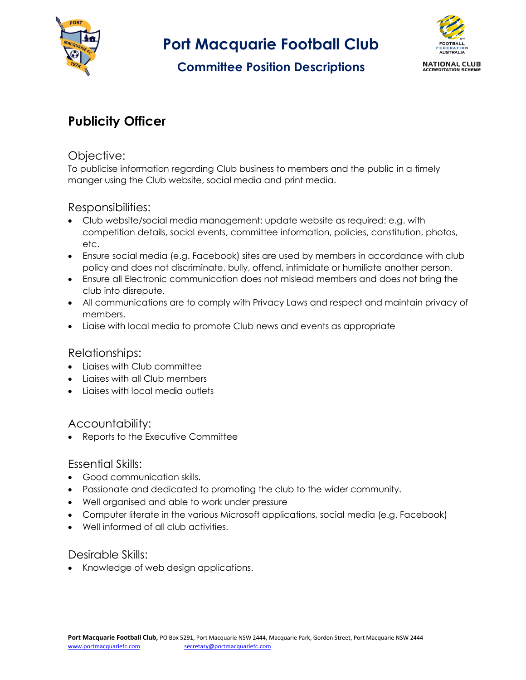

# Committee Position Descriptions



# Publicity Officer

### Objective:

To publicise information regarding Club business to members and the public in a timely manger using the Club website, social media and print media.

## Responsibilities:

- Club website/social media management: update website as required: e.g. with competition details, social events, committee information, policies, constitution, photos, etc.
- Ensure social media (e.g. Facebook) sites are used by members in accordance with club policy and does not discriminate, bully, offend, intimidate or humiliate another person.
- Ensure all Electronic communication does not mislead members and does not bring the club into disrepute.
- All communications are to comply with Privacy Laws and respect and maintain privacy of members.
- Liaise with local media to promote Club news and events as appropriate

#### Relationships:

- Liaises with Club committee
- Liaises with all Club members
- Liaises with local media outlets

### Accountability:

Reports to the Executive Committee

### Essential Skills:

- Good communication skills.
- Passionate and dedicated to promoting the club to the wider community.
- Well organised and able to work under pressure
- Computer literate in the various Microsoft applications, social media (e.g. Facebook)
- Well informed of all club activities.

#### Desirable Skills:

• Knowledge of web design applications.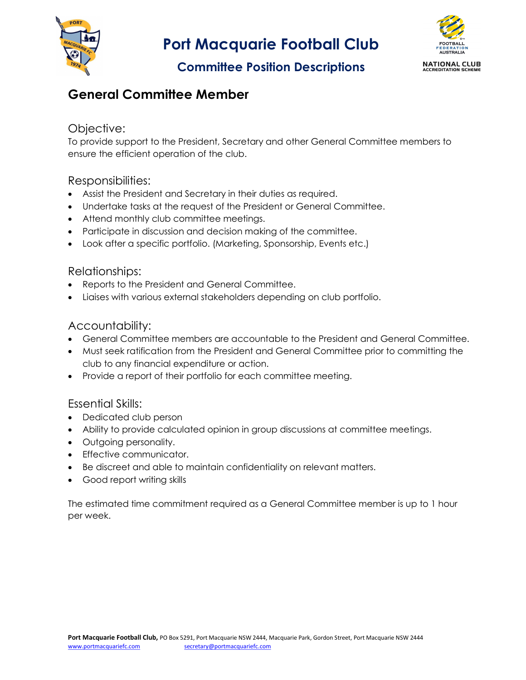



## Committee Position Descriptions

## General Committee Member

### Objective:

To provide support to the President, Secretary and other General Committee members to ensure the efficient operation of the club.

### Responsibilities:

- Assist the President and Secretary in their duties as required.
- Undertake tasks at the request of the President or General Committee.
- Attend monthly club committee meetings.
- Participate in discussion and decision making of the committee.
- Look after a specific portfolio. (Marketing, Sponsorship, Events etc.)

#### Relationships:

- Reports to the President and General Committee.
- Liaises with various external stakeholders depending on club portfolio.

### Accountability:

- General Committee members are accountable to the President and General Committee.
- Must seek ratification from the President and General Committee prior to committing the club to any financial expenditure or action.
- Provide a report of their portfolio for each committee meeting.

### Essential Skills:

- Dedicated club person
- Ability to provide calculated opinion in group discussions at committee meetings.
- Outgoing personality.
- Effective communicator.
- Be discreet and able to maintain confidentiality on relevant matters.
- Good report writing skills

The estimated time commitment required as a General Committee member is up to 1 hour per week.